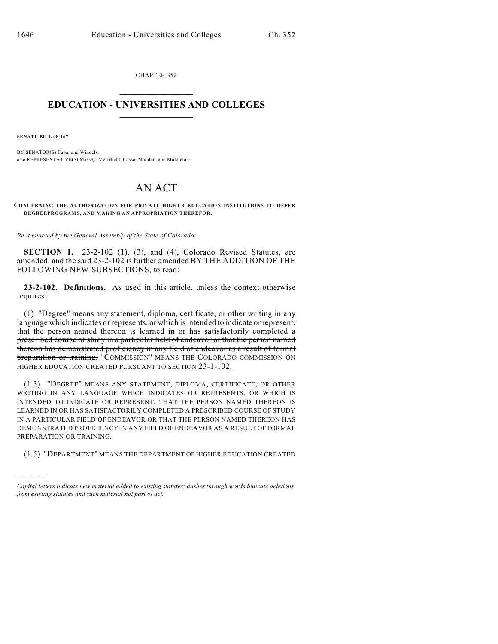CHAPTER 352  $\mathcal{L}_\text{max}$  . The set of the set of the set of the set of the set of the set of the set of the set of the set of the set of the set of the set of the set of the set of the set of the set of the set of the set of the set

## **EDUCATION - UNIVERSITIES AND COLLEGES**  $\_$

**SENATE BILL 08-167**

)))))

BY SENATOR(S) Tupa, and Windels; also REPRESENTATIVE(S) Massey, Merrifield, Casso, Madden, and Middleton.

## AN ACT

**CONCERNING THE AUTHORIZATION FOR PRIVATE HIGHER EDUCATION INSTITUTIONS TO OFFER DEGREEPROGRAM S, AND MAKING AN APPROPRIATION THEREFOR.**

*Be it enacted by the General Assembly of the State of Colorado:*

**SECTION 1.** 23-2-102 (1), (3), and (4), Colorado Revised Statutes, are amended, and the said 23-2-102 is further amended BY THE ADDITION OF THE FOLLOWING NEW SUBSECTIONS, to read:

**23-2-102. Definitions.** As used in this article, unless the context otherwise requires:

(1) "Degree" means any statement, diploma, certificate, or other writing in any language which indicates or represents, or which is intended to indicate or represent, that the person named thereon is learned in or has satisfactorily completed a prescribed course of study in a particular field of endeavor or that the person named thereon has demonstrated proficiency in any field of endeavor as a result of formal preparation or training. "COMMISSION" MEANS THE COLORADO COMMISSION ON HIGHER EDUCATION CREATED PURSUANT TO SECTION 23-1-102.

(1.3) "DEGREE" MEANS ANY STATEMENT, DIPLOMA, CERTIFICATE, OR OTHER WRITING IN ANY LANGUAGE WHICH INDICATES OR REPRESENTS, OR WHICH IS INTENDED TO INDICATE OR REPRESENT, THAT THE PERSON NAMED THEREON IS LEARNED IN OR HAS SATISFACTORILY COMPLETED A PRESCRIBED COURSE OF STUDY IN A PARTICULAR FIELD OF ENDEAVOR OR THAT THE PERSON NAMED THEREON HAS DEMONSTRATED PROFICIENCY IN ANY FIELD OF ENDEAVOR AS A RESULT OF FORMAL PREPARATION OR TRAINING.

(1.5) "DEPARTMENT" MEANS THE DEPARTMENT OF HIGHER EDUCATION CREATED

*Capital letters indicate new material added to existing statutes; dashes through words indicate deletions from existing statutes and such material not part of act.*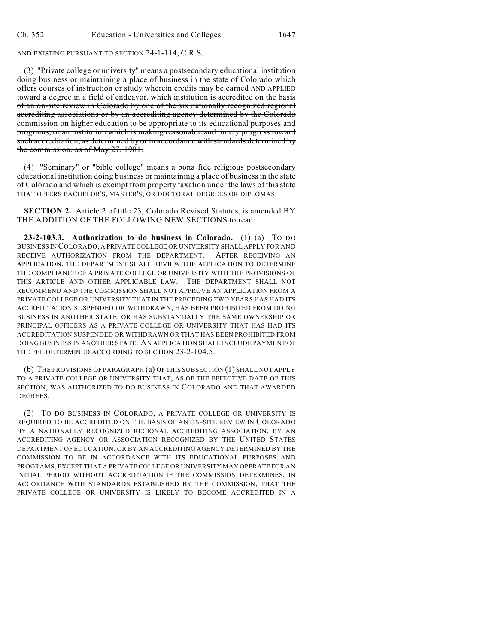## AND EXISTING PURSUANT TO SECTION 24-1-114, C.R.S.

(3) "Private college or university" means a postsecondary educational institution doing business or maintaining a place of business in the state of Colorado which offers courses of instruction or study wherein credits may be earned AND APPLIED toward a degree in a field of endeavor. which institution is accredited on the basis of an on-site review in Colorado by one of the six nationally recognized regional accrediting associations or by an accrediting agency determined by the Colorado commission on higher education to be appropriate to its educational purposes and programs, or an institution which is making reasonable and timely progress toward such accreditation, as determined by or in accordance with standards determined by the commission, as of May 27, 1981.

(4) "Seminary" or "bible college" means a bona fide religious postsecondary educational institution doing business or maintaining a place of business in the state of Colorado and which is exempt from property taxation under the laws of this state THAT OFFERS BACHELOR'S, MASTER'S, OR DOCTORAL DEGREES OR DIPLOMAS.

**SECTION 2.** Article 2 of title 23, Colorado Revised Statutes, is amended BY THE ADDITION OF THE FOLLOWING NEW SECTIONS to read:

**23-2-103.3. Authorization to do business in Colorado.** (1) (a) TO DO BUSINESS IN COLORADO, A PRIVATE COLLEGE OR UNIVERSITY SHALL APPLY FOR AND RECEIVE AUTHORIZATION FROM THE DEPARTMENT. AFTER RECEIVING AN APPLICATION, THE DEPARTMENT SHALL REVIEW THE APPLICATION TO DETERMINE THE COMPLIANCE OF A PRIVATE COLLEGE OR UNIVERSITY WITH THE PROVISIONS OF THIS ARTICLE AND OTHER APPLICABLE LAW. THE DEPARTMENT SHALL NOT RECOMMEND AND THE COMMISSION SHALL NOT APPROVE AN APPLICATION FROM A PRIVATE COLLEGE OR UNIVERSITY THAT IN THE PRECEDING TWO YEARS HAS HAD ITS ACCREDITATION SUSPENDED OR WITHDRAWN, HAS BEEN PROHIBITED FROM DOING BUSINESS IN ANOTHER STATE, OR HAS SUBSTANTIALLY THE SAME OWNERSHIP OR PRINCIPAL OFFICERS AS A PRIVATE COLLEGE OR UNIVERSITY THAT HAS HAD ITS ACCREDITATION SUSPENDED OR WITHDRAWN OR THAT HAS BEEN PROHIBITED FROM DOING BUSINESS IN ANOTHER STATE. AN APPLICATION SHALL INCLUDE PAYMENT OF THE FEE DETERMINED ACCORDING TO SECTION 23-2-104.5.

(b) THE PROVISIONS OF PARAGRAPH (a) OF THIS SUBSECTION (1) SHALL NOT APPLY TO A PRIVATE COLLEGE OR UNIVERSITY THAT, AS OF THE EFFECTIVE DATE OF THIS SECTION, WAS AUTHORIZED TO DO BUSINESS IN COLORADO AND THAT AWARDED DEGREES.

(2) TO DO BUSINESS IN COLORADO, A PRIVATE COLLEGE OR UNIVERSITY IS REQUIRED TO BE ACCREDITED ON THE BASIS OF AN ON-SITE REVIEW IN COLORADO BY A NATIONALLY RECOGNIZED REGIONAL ACCREDITING ASSOCIATION, BY AN ACCREDITING AGENCY OR ASSOCIATION RECOGNIZED BY THE UNITED STATES DEPARTMENT OF EDUCATION, OR BY AN ACCREDITING AGENCY DETERMINED BY THE COMMISSION TO BE IN ACCORDANCE WITH ITS EDUCATIONAL PURPOSES AND PROGRAMS; EXCEPT THAT A PRIVATE COLLEGE OR UNIVERSITY MAY OPERATE FOR AN INITIAL PERIOD WITHOUT ACCREDITATION IF THE COMMISSION DETERMINES, IN ACCORDANCE WITH STANDARDS ESTABLISHED BY THE COMMISSION, THAT THE PRIVATE COLLEGE OR UNIVERSITY IS LIKELY TO BECOME ACCREDITED IN A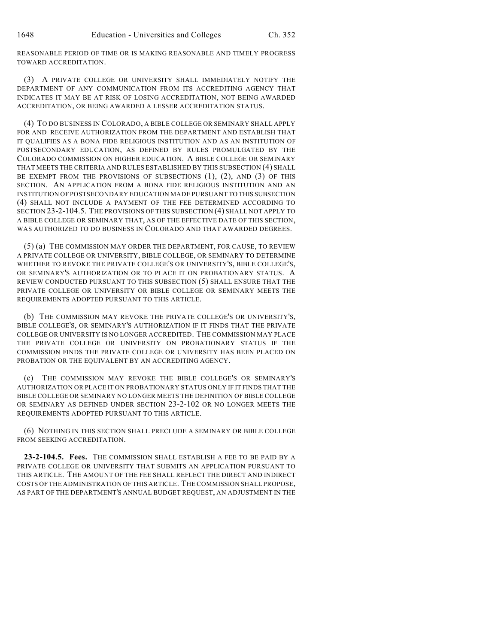REASONABLE PERIOD OF TIME OR IS MAKING REASONABLE AND TIMELY PROGRESS TOWARD ACCREDITATION.

(3) A PRIVATE COLLEGE OR UNIVERSITY SHALL IMMEDIATELY NOTIFY THE DEPARTMENT OF ANY COMMUNICATION FROM ITS ACCREDITING AGENCY THAT INDICATES IT MAY BE AT RISK OF LOSING ACCREDITATION, NOT BEING AWARDED ACCREDITATION, OR BEING AWARDED A LESSER ACCREDITATION STATUS.

(4) TO DO BUSINESS IN COLORADO, A BIBLE COLLEGE OR SEMINARY SHALL APPLY FOR AND RECEIVE AUTHORIZATION FROM THE DEPARTMENT AND ESTABLISH THAT IT QUALIFIES AS A BONA FIDE RELIGIOUS INSTITUTION AND AS AN INSTITUTION OF POSTSECONDARY EDUCATION, AS DEFINED BY RULES PROMULGATED BY THE COLORADO COMMISSION ON HIGHER EDUCATION. A BIBLE COLLEGE OR SEMINARY THAT MEETS THE CRITERIA AND RULES ESTABLISHED BY THIS SUBSECTION (4) SHALL BE EXEMPT FROM THE PROVISIONS OF SUBSECTIONS (1), (2), AND (3) OF THIS SECTION. AN APPLICATION FROM A BONA FIDE RELIGIOUS INSTITUTION AND AN INSTITUTION OF POSTSECONDARY EDUCATION MADE PURSUANT TO THIS SUBSECTION (4) SHALL NOT INCLUDE A PAYMENT OF THE FEE DETERMINED ACCORDING TO SECTION 23-2-104.5. THE PROVISIONS OF THIS SUBSECTION (4) SHALL NOT APPLY TO A BIBLE COLLEGE OR SEMINARY THAT, AS OF THE EFFECTIVE DATE OF THIS SECTION, WAS AUTHORIZED TO DO BUSINESS IN COLORADO AND THAT AWARDED DEGREES.

(5) (a) THE COMMISSION MAY ORDER THE DEPARTMENT, FOR CAUSE, TO REVIEW A PRIVATE COLLEGE OR UNIVERSITY, BIBLE COLLEGE, OR SEMINARY TO DETERMINE WHETHER TO REVOKE THE PRIVATE COLLEGE'S OR UNIVERSITY'S, BIBLE COLLEGE'S, OR SEMINARY'S AUTHORIZATION OR TO PLACE IT ON PROBATIONARY STATUS. A REVIEW CONDUCTED PURSUANT TO THIS SUBSECTION (5) SHALL ENSURE THAT THE PRIVATE COLLEGE OR UNIVERSITY OR BIBLE COLLEGE OR SEMINARY MEETS THE REQUIREMENTS ADOPTED PURSUANT TO THIS ARTICLE.

(b) THE COMMISSION MAY REVOKE THE PRIVATE COLLEGE'S OR UNIVERSITY'S, BIBLE COLLEGE'S, OR SEMINARY'S AUTHORIZATION IF IT FINDS THAT THE PRIVATE COLLEGE OR UNIVERSITY IS NO LONGER ACCREDITED. THE COMMISSION MAY PLACE THE PRIVATE COLLEGE OR UNIVERSITY ON PROBATIONARY STATUS IF THE COMMISSION FINDS THE PRIVATE COLLEGE OR UNIVERSITY HAS BEEN PLACED ON PROBATION OR THE EQUIVALENT BY AN ACCREDITING AGENCY.

(c) THE COMMISSION MAY REVOKE THE BIBLE COLLEGE'S OR SEMINARY'S AUTHORIZATION OR PLACE IT ON PROBATIONARY STATUS ONLY IF IT FINDS THAT THE BIBLE COLLEGE OR SEMINARY NO LONGER MEETS THE DEFINITION OF BIBLE COLLEGE OR SEMINARY AS DEFINED UNDER SECTION 23-2-102 OR NO LONGER MEETS THE REQUIREMENTS ADOPTED PURSUANT TO THIS ARTICLE.

(6) NOTHING IN THIS SECTION SHALL PRECLUDE A SEMINARY OR BIBLE COLLEGE FROM SEEKING ACCREDITATION.

**23-2-104.5. Fees.** THE COMMISSION SHALL ESTABLISH A FEE TO BE PAID BY A PRIVATE COLLEGE OR UNIVERSITY THAT SUBMITS AN APPLICATION PURSUANT TO THIS ARTICLE. THE AMOUNT OF THE FEE SHALL REFLECT THE DIRECT AND INDIRECT COSTS OF THE ADMINISTRATION OF THIS ARTICLE. THE COMMISSION SHALL PROPOSE, AS PART OF THE DEPARTMENT'S ANNUAL BUDGET REQUEST, AN ADJUSTMENT IN THE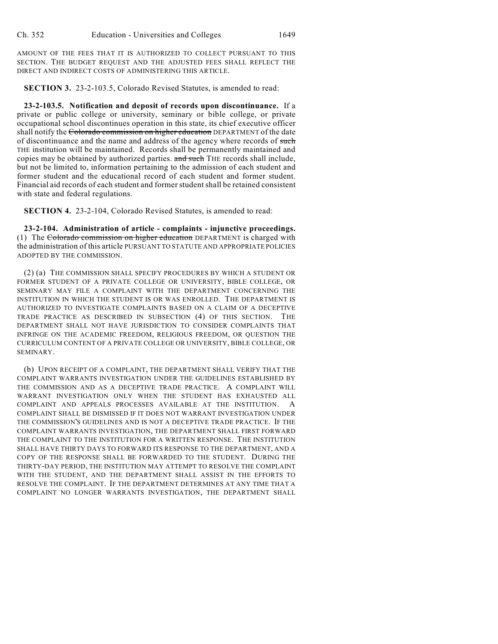AMOUNT OF THE FEES THAT IT IS AUTHORIZED TO COLLECT PURSUANT TO THIS SECTION. THE BUDGET REQUEST AND THE ADJUSTED FEES SHALL REFLECT THE DIRECT AND INDIRECT COSTS OF ADMINISTERING THIS ARTICLE.

**SECTION 3.** 23-2-103.5, Colorado Revised Statutes, is amended to read:

**23-2-103.5. Notification and deposit of records upon discontinuance.** If a private or public college or university, seminary or bible college, or private occupational school discontinues operation in this state, its chief executive officer shall notify the Colorado commission on higher education DEPARTMENT of the date of discontinuance and the name and address of the agency where records of such THE institution will be maintained. Records shall be permanently maintained and copies may be obtained by authorized parties. and such THE records shall include, but not be limited to, information pertaining to the admission of each student and former student and the educational record of each student and former student. Financial aid records of each student and former student shall be retained consistent with state and federal regulations.

**SECTION 4.** 23-2-104, Colorado Revised Statutes, is amended to read:

**23-2-104. Administration of article - complaints - injunctive proceedings.** (1) The Colorado commission on higher education DEPARTMENT is charged with the administration of this article PURSUANT TO STATUTE AND APPROPRIATE POLICIES ADOPTED BY THE COMMISSION.

(2) (a) THE COMMISSION SHALL SPECIFY PROCEDURES BY WHICH A STUDENT OR FORMER STUDENT OF A PRIVATE COLLEGE OR UNIVERSITY, BIBLE COLLEGE, OR SEMINARY MAY FILE A COMPLAINT WITH THE DEPARTMENT CONCERNING THE INSTITUTION IN WHICH THE STUDENT IS OR WAS ENROLLED. THE DEPARTMENT IS AUTHORIZED TO INVESTIGATE COMPLAINTS BASED ON A CLAIM OF A DECEPTIVE TRADE PRACTICE AS DESCRIBED IN SUBSECTION (4) OF THIS SECTION. THE DEPARTMENT SHALL NOT HAVE JURISDICTION TO CONSIDER COMPLAINTS THAT INFRINGE ON THE ACADEMIC FREEDOM, RELIGIOUS FREEDOM, OR QUESTION THE CURRICULUM CONTENT OF A PRIVATE COLLEGE OR UNIVERSITY, BIBLE COLLEGE, OR SEMINARY.

(b) UPON RECEIPT OF A COMPLAINT, THE DEPARTMENT SHALL VERIFY THAT THE COMPLAINT WARRANTS INVESTIGATION UNDER THE GUIDELINES ESTABLISHED BY THE COMMISSION AND AS A DECEPTIVE TRADE PRACTICE. A COMPLAINT WILL WARRANT INVESTIGATION ONLY WHEN THE STUDENT HAS EXHAUSTED ALL COMPLAINT AND APPEALS PROCESSES AVAILABLE AT THE INSTITUTION. A COMPLAINT SHALL BE DISMISSED IF IT DOES NOT WARRANT INVESTIGATION UNDER THE COMMISSION'S GUIDELINES AND IS NOT A DECEPTIVE TRADE PRACTICE. IF THE COMPLAINT WARRANTS INVESTIGATION, THE DEPARTMENT SHALL FIRST FORWARD THE COMPLAINT TO THE INSTITUTION FOR A WRITTEN RESPONSE. THE INSTITUTION SHALL HAVE THIRTY DAYS TO FORWARD ITS RESPONSE TO THE DEPARTMENT, AND A COPY OF THE RESPONSE SHALL BE FORWARDED TO THE STUDENT. DURING THE THIRTY-DAY PERIOD, THE INSTITUTION MAY ATTEMPT TO RESOLVE THE COMPLAINT WITH THE STUDENT, AND THE DEPARTMENT SHALL ASSIST IN THE EFFORTS TO RESOLVE THE COMPLAINT. IF THE DEPARTMENT DETERMINES AT ANY TIME THAT A COMPLAINT NO LONGER WARRANTS INVESTIGATION, THE DEPARTMENT SHALL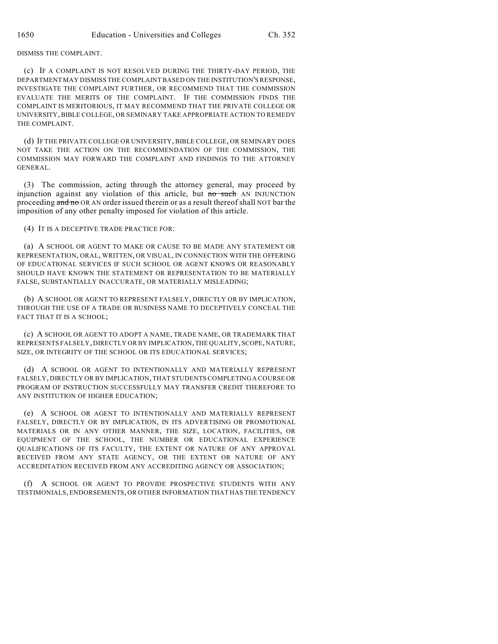## DISMISS THE COMPLAINT.

(c) IF A COMPLAINT IS NOT RESOLVED DURING THE THIRTY-DAY PERIOD, THE DEPARTMENT MAY DISMISS THE COMPLAINT BASED ON THE INSTITUTION'S RESPONSE, INVESTIGATE THE COMPLAINT FURTHER, OR RECOMMEND THAT THE COMMISSION EVALUATE THE MERITS OF THE COMPLAINT. IF THE COMMISSION FINDS THE COMPLAINT IS MERITORIOUS, IT MAY RECOMMEND THAT THE PRIVATE COLLEGE OR UNIVERSITY, BIBLE COLLEGE, OR SEMINARY TAKE APPROPRIATE ACTION TO REMEDY THE COMPLAINT.

(d) IF THE PRIVATE COLLEGE OR UNIVERSITY, BIBLE COLLEGE, OR SEMINARY DOES NOT TAKE THE ACTION ON THE RECOMMENDATION OF THE COMMISSION, THE COMMISSION MAY FORWARD THE COMPLAINT AND FINDINGS TO THE ATTORNEY GENERAL.

(3) The commission, acting through the attorney general, may proceed by injunction against any violation of this article, but no such AN INJUNCTION proceeding and no OR AN order issued therein or as a result thereof shall NOT bar the imposition of any other penalty imposed for violation of this article.

(4) IT IS A DECEPTIVE TRADE PRACTICE FOR:

(a) A SCHOOL OR AGENT TO MAKE OR CAUSE TO BE MADE ANY STATEMENT OR REPRESENTATION, ORAL, WRITTEN, OR VISUAL, IN CONNECTION WITH THE OFFERING OF EDUCATIONAL SERVICES IF SUCH SCHOOL OR AGENT KNOWS OR REASONABLY SHOULD HAVE KNOWN THE STATEMENT OR REPRESENTATION TO BE MATERIALLY FALSE, SUBSTANTIALLY INACCURATE, OR MATERIALLY MISLEADING;

(b) A SCHOOL OR AGENT TO REPRESENT FALSELY, DIRECTLY OR BY IMPLICATION, THROUGH THE USE OF A TRADE OR BUSINESS NAME TO DECEPTIVELY CONCEAL THE FACT THAT IT IS A SCHOOL;

(c) A SCHOOL OR AGENT TO ADOPT A NAME, TRADE NAME, OR TRADEMARK THAT REPRESENTS FALSELY, DIRECTLY OR BY IMPLICATION, THE QUALITY, SCOPE, NATURE, SIZE, OR INTEGRITY OF THE SCHOOL OR ITS EDUCATIONAL SERVICES;

(d) A SCHOOL OR AGENT TO INTENTIONALLY AND MATERIALLY REPRESENT FALSELY, DIRECTLY OR BY IMPLICATION, THAT STUDENTS COMPLETING A COURSE OR PROGRAM OF INSTRUCTION SUCCESSFULLY MAY TRANSFER CREDIT THEREFORE TO ANY INSTITUTION OF HIGHER EDUCATION;

(e) A SCHOOL OR AGENT TO INTENTIONALLY AND MATERIALLY REPRESENT FALSELY, DIRECTLY OR BY IMPLICATION, IN ITS ADVERTISING OR PROMOTIONAL MATERIALS OR IN ANY OTHER MANNER, THE SIZE, LOCATION, FACILITIES, OR EQUIPMENT OF THE SCHOOL, THE NUMBER OR EDUCATIONAL EXPERIENCE QUALIFICATIONS OF ITS FACULTY, THE EXTENT OR NATURE OF ANY APPROVAL RECEIVED FROM ANY STATE AGENCY, OR THE EXTENT OR NATURE OF ANY ACCREDITATION RECEIVED FROM ANY ACCREDITING AGENCY OR ASSOCIATION;

(f) A SCHOOL OR AGENT TO PROVIDE PROSPECTIVE STUDENTS WITH ANY TESTIMONIALS, ENDORSEMENTS, OR OTHER INFORMATION THAT HAS THE TENDENCY